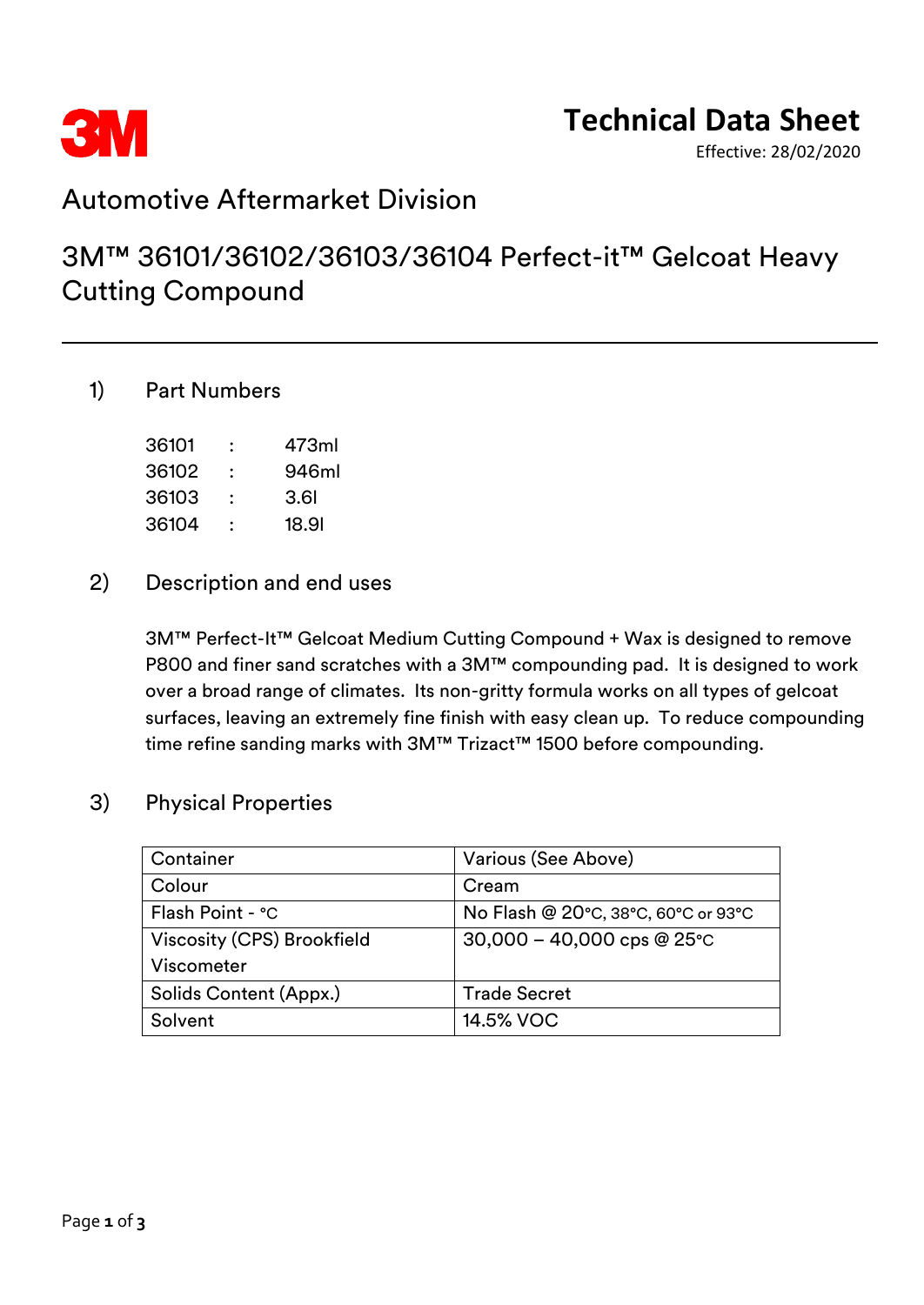

## **Technical Data Sheet**

Effective: 28/02/2020

### Automotive Aftermarket Division

## 3M™ 36101/36102/36103/36104 Perfect-it™ Gelcoat Heavy Cutting Compound

#### 1) Part Numbers

| 36101 | : | 473ml |
|-------|---|-------|
| 36102 | ∶ | 946ml |
| 36103 | : | 3.6I  |
| 36104 |   | 18.91 |

#### 2) Description and end uses

3M™ Perfect-It™ Gelcoat Medium Cutting Compound + Wax is designed to remove P800 and finer sand scratches with a 3M™ compounding pad. It is designed to work over a broad range of climates. Its non-gritty formula works on all types of gelcoat surfaces, leaving an extremely fine finish with easy clean up. To reduce compounding time refine sanding marks with 3M™ Trizact™ 1500 before compounding.

### 3) Physical Properties

| Container                  | Various (See Above)                    |
|----------------------------|----------------------------------------|
| Colour                     | Cream                                  |
| Flash Point - °C           | No Flash @ 20°C, 38°C, 60°C or 93°C    |
| Viscosity (CPS) Brookfield | $30,000 - 40,000$ cps @ 25 $\degree$ C |
| Viscometer                 |                                        |
| Solids Content (Appx.)     | <b>Trade Secret</b>                    |
| Solvent                    | 14.5% VOC                              |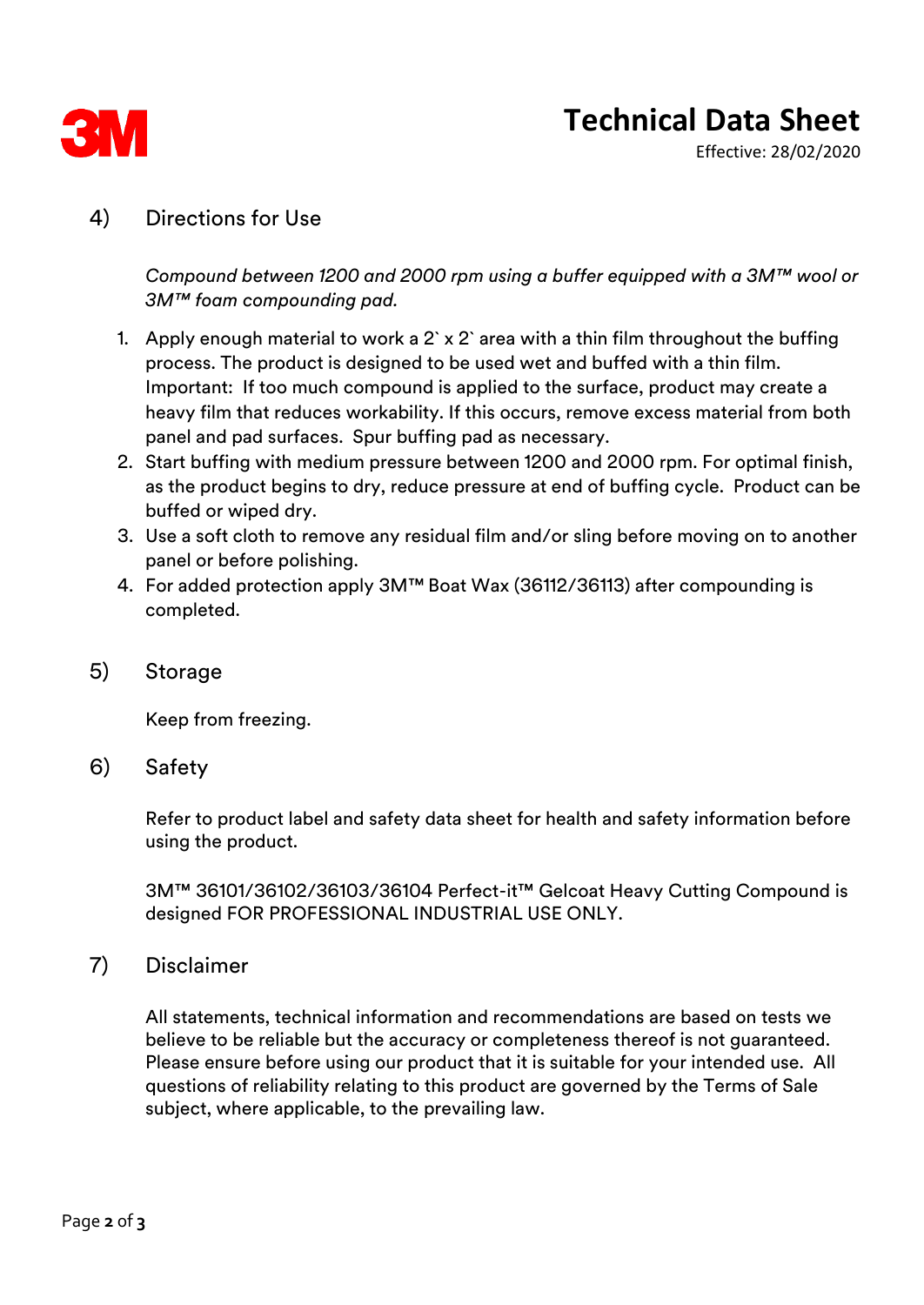

# **Technical Data Sheet**

Effective: 28/02/2020

#### 4) Directions for Use

*Compound between 1200 and 2000 rpm using a buffer equipped with a 3M™ wool or 3M™ foam compounding pad.* 

- 1. Apply enough material to work a 2` x 2` area with a thin film throughout the buffing process. The product is designed to be used wet and buffed with a thin film. Important: If too much compound is applied to the surface, product may create a heavy film that reduces workability. If this occurs, remove excess material from both panel and pad surfaces. Spur buffing pad as necessary.
- 2. Start buffing with medium pressure between 1200 and 2000 rpm. For optimal finish, as the product begins to dry, reduce pressure at end of buffing cycle. Product can be buffed or wiped dry.
- 3. Use a soft cloth to remove any residual film and/or sling before moving on to another panel or before polishing.
- 4. For added protection apply 3M™ Boat Wax (36112/36113) after compounding is completed.
- 5) Storage

Keep from freezing.

6) Safety

Refer to product label and safety data sheet for health and safety information before using the product.

3M™ 36101/36102/36103/36104 Perfect-it™ Gelcoat Heavy Cutting Compound is designed FOR PROFESSIONAL INDUSTRIAL USE ONLY.

#### 7) Disclaimer

All statements, technical information and recommendations are based on tests we believe to be reliable but the accuracy or completeness thereof is not guaranteed. Please ensure before using our product that it is suitable for your intended use. All questions of reliability relating to this product are governed by the Terms of Sale subject, where applicable, to the prevailing law.